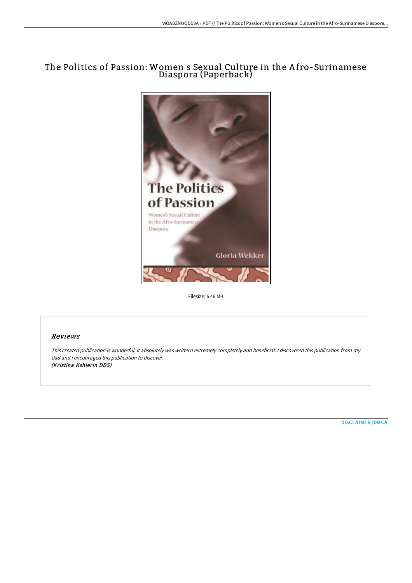# The Politics of Passion: Women s Sexual Culture in the A fro-Surinamese Diaspora (Paperback)



Filesize: 6.46 MB

## Reviews

This created publication is wonderful. it absolutely was writtern extremely completely and beneficial. I discovered this publication from my dad and i encouraged this publication to discover. (Kristina Kshlerin DDS)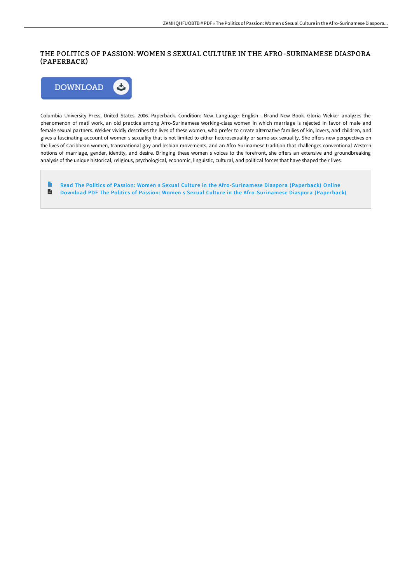## THE POLITICS OF PASSION: WOMEN S SEXUAL CULTURE IN THE AFRO-SURINAMESE DIASPORA (PAPERBACK)



Columbia University Press, United States, 2006. Paperback. Condition: New. Language: English . Brand New Book. Gloria Wekker analyzes the phenomenon of mati work, an old practice among Afro-Surinamese working-class women in which marriage is rejected in favor of male and female sexual partners. Wekker vividly describes the lives of these women, who prefer to create alternative families of kin, lovers, and children, and gives a fascinating account of women s sexuality that is not limited to either heterosexuality or same-sex sexuality. She offers new perspectives on the lives of Caribbean women, transnational gay and lesbian movements, and an Afro-Surinamese tradition that challenges conventional Western notions of marriage, gender, identity, and desire. Bringing these women s voices to the forefront, she offers an extensive and groundbreaking analysis of the unique historical, religious, psychological, economic, linguistic, cultural, and political forces that have shaped their lives.

 $\Rightarrow$ Read The Politics of Passion: Women s Sexual Culture in the [Afro-Surinamese](http://techno-pub.tech/the-politics-of-passion-women-s-sexual-culture-i.html) Diaspora (Paperback) Online  $\mathbf{H}$ Download PDF The Politics of Passion: Women s Sexual Culture in the [Afro-Surinamese](http://techno-pub.tech/the-politics-of-passion-women-s-sexual-culture-i.html) Diaspora (Paperback)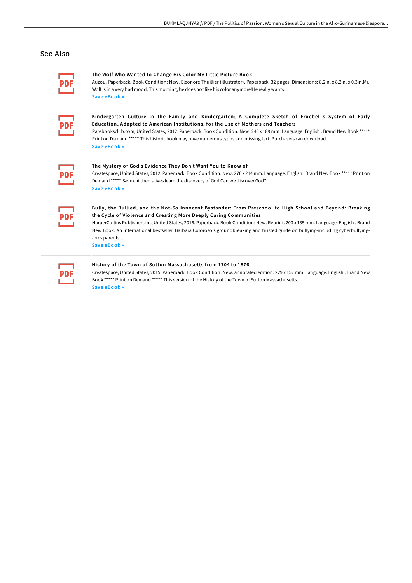### See Also

#### The Wolf Who Wanted to Change His Color My Little Picture Book

Auzou. Paperback. Book Condition: New. Eleonore Thuillier (illustrator). Paperback. 32 pages. Dimensions: 8.2in. x 8.2in. x 0.3in.Mr. Wolf is in a very bad mood. This morning, he does not like his color anymore!He really wants... Save [eBook](http://techno-pub.tech/the-wolf-who-wanted-to-change-his-color-my-littl.html) »

Kindergarten Culture in the Family and Kindergarten; A Complete Sketch of Froebel s System of Early Education, Adapted to American Institutions. for the Use of Mothers and Teachers

Rarebooksclub.com, United States, 2012. Paperback. Book Condition: New. 246 x 189 mm. Language: English . Brand New Book \*\*\*\*\* Print on Demand \*\*\*\*\*.This historic book may have numerous typos and missing text. Purchasers can download... Save [eBook](http://techno-pub.tech/kindergarten-culture-in-the-family-and-kindergar.html) »

### The Mystery of God s Evidence They Don t Want You to Know of

Createspace, United States, 2012. Paperback. Book Condition: New. 276 x 214 mm. Language: English . Brand New Book \*\*\*\*\* Print on Demand \*\*\*\*\*.Save children s lives learn the discovery of God Can we discover God?... Save [eBook](http://techno-pub.tech/the-mystery-of-god-s-evidence-they-don-t-want-yo.html) »

## Bully , the Bullied, and the Not-So Innocent By stander: From Preschool to High School and Beyond: Breaking the Cycle of Violence and Creating More Deeply Caring Communities

HarperCollins Publishers Inc, United States, 2016. Paperback. Book Condition: New. Reprint. 203 x 135 mm. Language: English . Brand New Book. An international bestseller, Barbara Coloroso s groundbreaking and trusted guide on bullying-including cyberbullyingarms parents...

Save [eBook](http://techno-pub.tech/bully-the-bullied-and-the-not-so-innocent-bystan.html) »

### History of the Town of Sutton Massachusetts from 1704 to 1876

Createspace, United States, 2015. Paperback. Book Condition: New. annotated edition. 229 x 152 mm. Language: English . Brand New Book \*\*\*\*\* Print on Demand \*\*\*\*\*.This version of the History of the Town of Sutton Massachusetts...

Save [eBook](http://techno-pub.tech/history-of-the-town-of-sutton-massachusetts-from.html) »